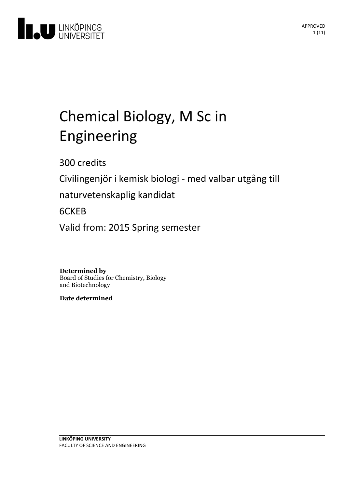

# Chemical Biology, M Sc in Engineering

300 credits

Civilingenjör i kemisk biologi - med valbar utgång till

naturvetenskaplig kandidat

# 6CKEB

Valid from: 2015 Spring semester

**Determined by** Board of Studies for Chemistry, Biology and Biotechnology

**Date determined**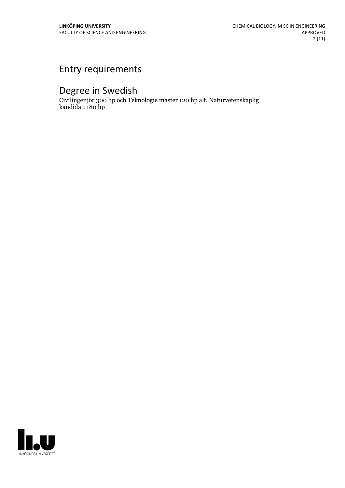# Entry requirements

# Degree in Swedish

Civilingenjör 300 hp och Teknologie master 120 hp alt. Naturvetenskaplig kandidat, 180 hp

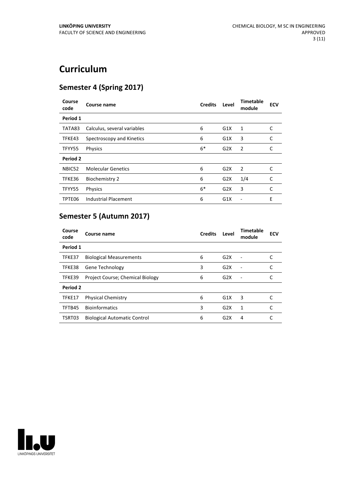# **Curriculum**

## **Semester 4 (Spring 2017)**

| Course<br>code | Course name                 | <b>Credits</b> | Level            | Timetable<br>module | <b>ECV</b> |
|----------------|-----------------------------|----------------|------------------|---------------------|------------|
| Period 1       |                             |                |                  |                     |            |
| TATA83         | Calculus, several variables | 6              | G1X              | 1                   | C          |
| TFKE43         | Spectroscopy and Kinetics   | 6              | G1X              | 3                   | C          |
| TFYY55         | <b>Physics</b>              | $6*$           | G2X              | 2                   | C          |
| Period 2       |                             |                |                  |                     |            |
| NBIC52         | <b>Molecular Genetics</b>   | 6              | G2X              | 2                   | C          |
| TFKE36         | <b>Biochemistry 2</b>       | 6              | G2X              | 1/4                 | C          |
| TFYY55         | <b>Physics</b>              | $6*$           | G2X              | 3                   | C          |
| TPTE06         | <b>Industrial Placement</b> | 6              | G <sub>1</sub> X |                     | E          |

# **Semester 5 (Autumn 2017)**

| Course<br>code | Course name                             | <b>Credits</b> | Level            | <b>Timetable</b><br>module | <b>ECV</b> |
|----------------|-----------------------------------------|----------------|------------------|----------------------------|------------|
| Period 1       |                                         |                |                  |                            |            |
| TFKE37         | <b>Biological Measurements</b>          | 6              | G2X              | Ē,                         |            |
| TFKE38         | Gene Technology                         | 3              | G <sub>2</sub> X | ٠                          |            |
| TFKE39         | <b>Project Course; Chemical Biology</b> | 6              | G2X              | $\overline{\phantom{a}}$   |            |
| Period 2       |                                         |                |                  |                            |            |
| TFKE17         | <b>Physical Chemistry</b>               | 6              | G1X              | 3                          | C          |
| TFTB45         | <b>Bioinformatics</b>                   | 3              | G2X              | 1                          | C          |
| TSRT03         | <b>Biological Automatic Control</b>     | 6              | G2X              | 4                          |            |

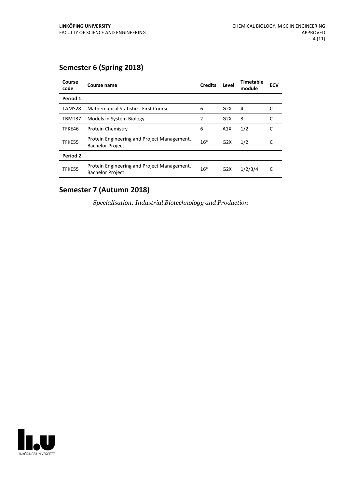## **Semester 6 (Spring 2018)**

| Course<br>code | Course name                                                            | <b>Credits</b> | Level            | Timetable<br>module | <b>ECV</b> |
|----------------|------------------------------------------------------------------------|----------------|------------------|---------------------|------------|
| Period 1       |                                                                        |                |                  |                     |            |
| TAMS28         | Mathematical Statistics, First Course                                  | 6              | G2X              | 4                   |            |
| TBMT37         | Models in System Biology                                               | 2              | G2X              | 3                   |            |
| TFKE46         | <b>Protein Chemistry</b>                                               | 6              | A1X              | 1/2                 | C          |
| TFKE55         | Protein Engineering and Project Management,<br><b>Bachelor Project</b> | $16*$          | G <sub>2</sub> X | 1/2                 |            |
| Period 2       |                                                                        |                |                  |                     |            |
| TFKE55         | Protein Engineering and Project Management,<br><b>Bachelor Project</b> | $16*$          | G2X              | 1/2/3/4             | C          |

# **Semester 7 (Autumn 2018)**

*Specialisation: Industrial Biotechnology and Production*

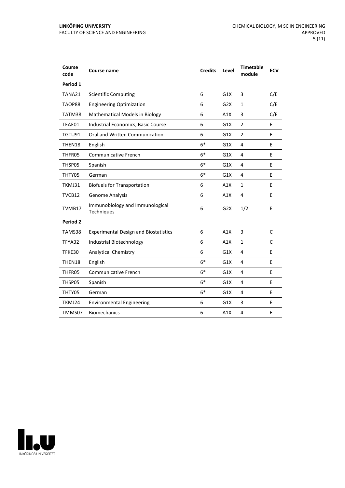| Course<br>code  | Course name                                   | <b>Credits</b> | Level | <b>Timetable</b><br>module | <b>ECV</b> |
|-----------------|-----------------------------------------------|----------------|-------|----------------------------|------------|
| Period 1        |                                               |                |       |                            |            |
| TANA21          | <b>Scientific Computing</b>                   | 6              | G1X   | 3                          | C/E        |
| TAOP88          | <b>Engineering Optimization</b>               | 6              | G2X   | 1                          | C/E        |
| TATM38          | Mathematical Models in Biology                | 6              | A1X   | 3                          | C/E        |
| TEAE01          | Industrial Economics, Basic Course            | 6              | G1X   | 2                          | E          |
| TGTU91          | Oral and Written Communication                | 6              | G1X   | $\overline{2}$             | E          |
| THEN18          | English                                       | $6*$           | G1X   | 4                          | E          |
| THFR05          | <b>Communicative French</b>                   | $6*$           | G1X   | $\overline{4}$             | E          |
| THSP05          | Spanish                                       | $6*$           | G1X   | 4                          | E          |
| THTY05          | German                                        | $6*$           | G1X   | 4                          | E          |
| TKMJ31          | <b>Biofuels for Transportation</b>            | 6              | A1X   | 1                          | E          |
| TVCB12          | Genome Analysis                               | 6              | A1X   | 4                          | E          |
| TVMB17          | Immunobiology and Immunological<br>Techniques | 6              | G2X   | 1/2                        | E          |
| <b>Period 2</b> |                                               |                |       |                            |            |
| TAMS38          | <b>Experimental Design and Biostatistics</b>  | 6              | A1X   | 3                          | C          |
| TFYA32          | Industrial Biotechnology                      | 6              | A1X   | $\mathbf{1}$               | C          |
| TFKE30          | <b>Analytical Chemistry</b>                   | 6              | G1X   | 4                          | E          |
| THEN18          | English                                       | $6*$           | G1X   | 4                          | E          |
| THFR05          | <b>Communicative French</b>                   | $6*$           | G1X   | 4                          | E          |
| THSP05          | Spanish                                       | $6*$           | G1X   | 4                          | E          |
| THTY05          | German                                        | $6*$           | G1X   | 4                          | E          |
| TKMJ24          | <b>Environmental Engineering</b>              | 6              | G1X   | 3                          | E          |
| TMMS07          | <b>Biomechanics</b>                           | 6              | A1X   | 4                          | E          |
|                 |                                               |                |       |                            |            |

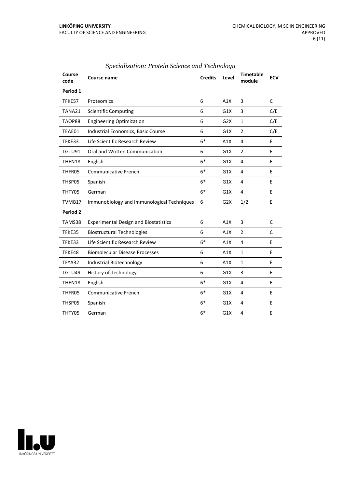| Course<br>code      | <b>Course name</b>                           | <b>Credits</b> | Level | <b>Timetable</b><br>module | <b>ECV</b>   |
|---------------------|----------------------------------------------|----------------|-------|----------------------------|--------------|
| Period 1            |                                              |                |       |                            |              |
| TFKE57              | Proteomics                                   | 6              | A1X   | 3                          | $\mathsf{C}$ |
| TANA21              | <b>Scientific Computing</b>                  | 6              | G1X   | 3                          | C/E          |
| TAOP88              | <b>Engineering Optimization</b>              | 6              | G2X   | $\mathbf{1}$               | C/E          |
| TEAE01              | Industrial Economics, Basic Course           | 6              | G1X   | $\overline{2}$             | C/E          |
| TFKE33              | Life Scientific Research Review              | $6*$           | A1X   | 4                          | E            |
| TGTU91              | Oral and Written Communication               | 6              | G1X   | $\overline{2}$             | E            |
| THEN18              | English                                      | $6*$           | G1X   | 4                          | E            |
| THFR05              | <b>Communicative French</b>                  | $6*$           | G1X   | 4                          | E            |
| THSP05              | Spanish                                      | $6*$           | G1X   | 4                          | E            |
| THTY05              | German                                       | $6*$           | G1X   | 4                          | E            |
| TVMB17              | Immunobiology and Immunological Techniques   | 6              | G2X   | 1/2                        | E            |
| Period <sub>2</sub> |                                              |                |       |                            |              |
| TAMS38              | <b>Experimental Design and Biostatistics</b> | 6              | A1X   | 3                          | C            |
| TFKE35              | <b>Biostructural Technologies</b>            | 6              | A1X   | $\overline{2}$             | C            |
| TFKE33              | Life Scientific Research Review              | $6*$           | A1X   | 4                          | E            |
| TFKE48              | <b>Biomolecular Disease Processes</b>        | 6              | A1X   | $\mathbf{1}$               | E            |
| TFYA32              | Industrial Biotechnology                     | 6              | A1X   | $\mathbf{1}$               | E            |
| TGTU49              | <b>History of Technology</b>                 | 6              | G1X   | 3                          | E            |
| THEN18              | English                                      | $6*$           | G1X   | 4                          | E            |
| THFR05              | <b>Communicative French</b>                  | $6*$           | G1X   | 4                          | E            |
| THSP05              | Spanish                                      | $6*$           | G1X   | 4                          | E            |
| THTY05              | German                                       | $6*$           | G1X   | 4                          | E            |
|                     |                                              |                |       |                            |              |

#### *Specialisation: Protein Science and Technology*

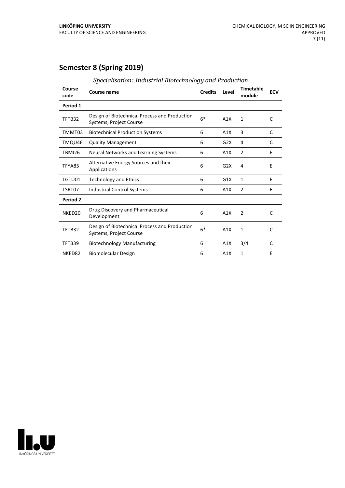## **Semester 8 (Spring 2019)**

| Course<br>code      | <b>Course name</b>                                                       | <b>Credits</b> | Level | Timetable<br>module | <b>ECV</b>   |
|---------------------|--------------------------------------------------------------------------|----------------|-------|---------------------|--------------|
| Period 1            |                                                                          |                |       |                     |              |
| TFTB32              | Design of Biotechnical Process and Production<br>Systems, Project Course | $6*$           | A1X   | 1                   | C            |
| TMMT03              | <b>Biotechnical Production Systems</b>                                   | 6              | A1X   | 3                   | C            |
| TMQU46              | <b>Quality Management</b>                                                | 6              | G2X   | 4                   | C            |
| <b>TBMI26</b>       | Neural Networks and Learning Systems                                     | 6              | A1X   | 2                   | E            |
| TFYA85              | Alternative Energy Sources and their<br>Applications                     | 6              | G2X   | 4                   | E            |
| TGTU01              | <b>Technology and Ethics</b>                                             | 6              | G1X   | 1                   | E            |
| TSRT07              | Industrial Control Systems                                               | 6              | A1X   | 2                   | Ε            |
| Period <sub>2</sub> |                                                                          |                |       |                     |              |
| NKED <sub>20</sub>  | Drug Discovery and Pharmaceutical<br>Development                         | 6              | A1X   | 2                   | C            |
| TFTB32              | Design of Biotechnical Process and Production<br>Systems, Project Course | $6*$           | A1X   | $\mathbf{1}$        | $\mathsf{C}$ |
| TFTB39              | <b>Biotechnology Manufacturing</b>                                       | 6              | A1X   | 3/4                 | C            |
| NKED82              | Biomolecular Design                                                      | 6              | A1X   | 1                   | F            |

| Specialisation: Industrial Biotechnology and Production |  |
|---------------------------------------------------------|--|
|                                                         |  |

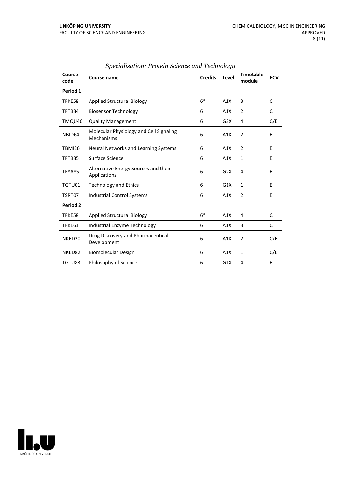| Course<br>code     | Course name                                           | <b>Credits</b> | Level | <b>Timetable</b><br>module | <b>ECV</b> |
|--------------------|-------------------------------------------------------|----------------|-------|----------------------------|------------|
| Period 1           |                                                       |                |       |                            |            |
| TFKE58             | <b>Applied Structural Biology</b>                     | $6*$           | A1X   | 3                          | C          |
| TFTB34             | <b>Biosensor Technology</b>                           | 6              | A1X   | 2                          | C          |
| TMQU46             | <b>Quality Management</b>                             | 6              | G2X   | 4                          | C/E        |
| NBID64             | Molecular Physiology and Cell Signaling<br>Mechanisms | 6              | A1X   | $\overline{2}$             | E          |
| <b>TBMI26</b>      | Neural Networks and Learning Systems                  | 6              | A1X   | $\overline{2}$             | E          |
| TFTB35             | Surface Science                                       | 6              | A1X   | $\mathbf{1}$               | E          |
| TFYA85             | Alternative Energy Sources and their<br>Applications  | 6              | G2X   | 4                          | E          |
| TGTU01             | <b>Technology and Ethics</b>                          | 6              | G1X   | $\mathbf{1}$               | E          |
| TSRT07             | <b>Industrial Control Systems</b>                     | 6              | A1X   | $\overline{2}$             | E          |
| Period 2           |                                                       |                |       |                            |            |
| TFKE58             | <b>Applied Structural Biology</b>                     | $6*$           | A1X   | 4                          | C          |
| TFKE61             | Industrial Enzyme Technology                          | 6              | A1X   | 3                          | C          |
| NKED <sub>20</sub> | Drug Discovery and Pharmaceutical<br>Development      | 6              | A1X   | $\overline{2}$             | C/E        |
| NKED82             | <b>Biomolecular Design</b>                            | 6              | A1X   | $\mathbf{1}$               | C/E        |
| TGTU83             | Philosophy of Science                                 | 6              | G1X   | 4                          | E          |

#### *Specialisation: Protein Science and Technology*

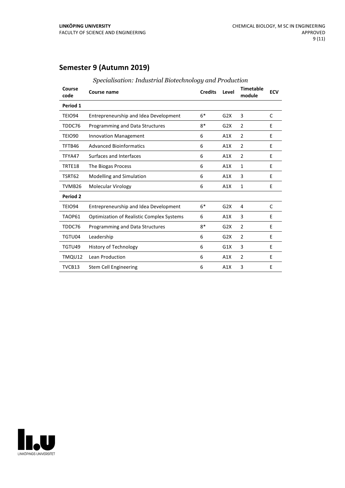## **Semester 9 (Autumn 2019)**

| Course<br>code  | <b>Course name</b>                               | <b>Credits</b> | Level | <b>Timetable</b><br>module | <b>ECV</b> |
|-----------------|--------------------------------------------------|----------------|-------|----------------------------|------------|
| Period 1        |                                                  |                |       |                            |            |
| TEIO94          | Entrepreneurship and Idea Development            | $6*$           | G2X   | 3                          | C          |
| TDDC76          | Programming and Data Structures                  | $8*$           | G2X   | $\overline{2}$             | F          |
| <b>TEIO90</b>   | <b>Innovation Management</b>                     | 6              | A1X   | 2                          | E          |
| TFTB46          | <b>Advanced Bioinformatics</b>                   | 6              | A1X   | $\overline{2}$             | E          |
| TFYA47          | Surfaces and Interfaces                          | 6              | A1X   | $\overline{2}$             | E          |
| TRTE18          | The Biogas Process                               | 6              | A1X   | 1                          | E          |
| TSRT62          | Modelling and Simulation                         | 6              | A1X   | 3                          | E          |
| TVMB26          | Molecular Virology                               | 6              | A1X   | 1                          | E          |
| <b>Period 2</b> |                                                  |                |       |                            |            |
| TEIO94          | Entrepreneurship and Idea Development            | $6*$           | G2X   | 4                          | C          |
| TAOP61          | <b>Optimization of Realistic Complex Systems</b> | 6              | A1X   | 3                          | E          |
| TDDC76          | Programming and Data Structures                  | $8*$           | G2X   | 2                          | E          |
| TGTU04          | Leadership                                       | 6              | G2X   | $\overline{2}$             | E          |
| TGTU49          | <b>History of Technology</b>                     | 6              | G1X   | 3                          | E          |
| TMQU12          | Lean Production                                  | 6              | A1X   | 2                          | E          |
| TVCB13          | Stem Cell Engineering                            | 6              | A1X   | 3                          | E          |

#### *Specialisation: Industrial Biotechnology and Production*

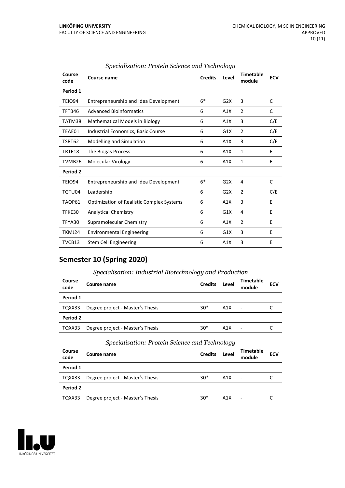| Course<br>code | <b>Course name</b>                               | <b>Credits</b> | Level            | <b>Timetable</b><br>module | <b>ECV</b> |
|----------------|--------------------------------------------------|----------------|------------------|----------------------------|------------|
| Period 1       |                                                  |                |                  |                            |            |
| TEIO94         | Entrepreneurship and Idea Development            | $6*$           | G <sub>2</sub> X | 3                          | C          |
| TFTB46         | <b>Advanced Bioinformatics</b>                   | 6              | A1X              | $\overline{2}$             | C          |
| TATM38         | Mathematical Models in Biology                   | 6              | A1X              | 3                          | C/E        |
| TEAE01         | Industrial Economics, Basic Course               | 6              | G1X              | $\overline{2}$             | C/E        |
| TSRT62         | Modelling and Simulation                         | 6              | A1X              | 3                          | C/E        |
| TRTE18         | The Biogas Process                               | 6              | A1X              | 1                          | E          |
| TVMB26         | Molecular Virology                               | 6              | A1X              | $\mathbf{1}$               | E          |
| Period 2       |                                                  |                |                  |                            |            |
| TEIO94         | Entrepreneurship and Idea Development            | $6*$           | G2X              | 4                          | C          |
| TGTU04         | Leadership                                       | 6              | G2X              | $\overline{2}$             | C/E        |
| TAOP61         | <b>Optimization of Realistic Complex Systems</b> | 6              | A1X              | 3                          | E          |
| TFKE30         | <b>Analytical Chemistry</b>                      | 6              | G1X              | 4                          | Ε          |
| TFYA30         | Supramolecular Chemistry                         | 6              | A1X              | $\overline{2}$             | E          |
| TKMJ24         | <b>Environmental Engineering</b>                 | 6              | G1X              | 3                          | E          |
| TVCB13         | <b>Stem Cell Engineering</b>                     | 6              | A1X              | 3                          | E          |

#### *Specialisation: Protein Science and Technology*

## **Semester 10 (Spring 2020)**

#### *Specialisation: Industrial Biotechnology and Production*

| Course<br>code | Course name                      | <b>Credits</b> | Level | <b>Timetable</b><br>module | <b>ECV</b> |
|----------------|----------------------------------|----------------|-------|----------------------------|------------|
| Period 1       |                                  |                |       |                            |            |
| TQXX33         | Degree project - Master's Thesis | $30*$          | A1X   | $\blacksquare$             |            |
| Period 2       |                                  |                |       |                            |            |
| TQXX33         | Degree project - Master's Thesis | $30*$          | A1X   | ٠                          |            |

#### *Specialisation: Protein Science and Technology*

| Course<br>code | Course name                      | <b>Credits</b> | Level | Timetable<br>module      | <b>ECV</b> |
|----------------|----------------------------------|----------------|-------|--------------------------|------------|
| Period 1       |                                  |                |       |                          |            |
| TQXX33         | Degree project - Master's Thesis | $30*$          | A1X   | $\overline{\phantom{a}}$ |            |
| Period 2       |                                  |                |       |                          |            |
| TQXX33         | Degree project - Master's Thesis | $30*$          | A1X   | $\overline{\phantom{a}}$ |            |